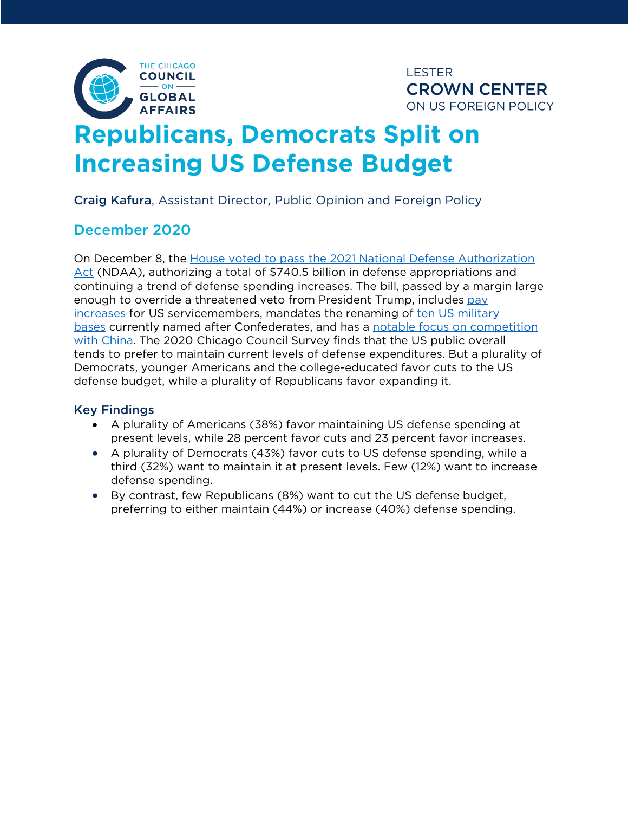

**LESTER CROWN CENTER** ON US FOREIGN POLICY

# **Republicans, Democrats Split on Increasing US Defense Budget**

Craig Kafura, Assistant Director, Public Opinion and Foreign Policy

## December 2020

On December 8, the House voted to pass the 2021 National Defense Authorization Act (NDAA), authorizing a total of \$740.5 billion in defense appropriations and continuing a trend of defense spending increases. The bill, passed by a margin large enough to override a threatened veto from President Trump, includes pay increases for US servicemembers, mandates the renaming of ten US military bases currently named after Confederates, and has a notable focus on competition with China. The 2020 Chicago Council Survey finds that the US public overall tends to prefer to maintain current levels of defense expenditures. But a plurality of Democrats, younger Americans and the college-educated favor cuts to the US defense budget, while a plurality of Republicans favor expanding it.

#### Key Findings

- A plurality of Americans (38%) favor maintaining US defense spending at present levels, while 28 percent favor cuts and 23 percent favor increases.
- A plurality of Democrats (43%) favor cuts to US defense spending, while a third (32%) want to maintain it at present levels. Few (12%) want to increase defense spending.
- By contrast, few Republicans (8%) want to cut the US defense budget, preferring to either maintain (44%) or increase (40%) defense spending.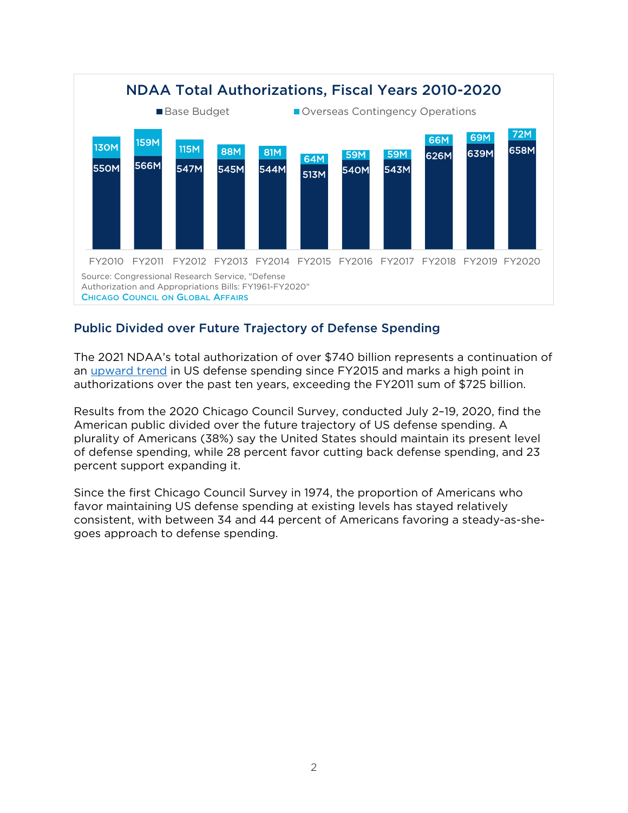

### Public Divided over Future Trajectory of Defense Spending

The 2021 NDAA's total authorization of over \$740 billion represents a continuation of an upward trend in US defense spending since FY2015 and marks a high point in authorizations over the past ten years, exceeding the FY2011 sum of \$725 billion.

Results from the 2020 Chicago Council Survey, conducted July 2–19, 2020, find the American public divided over the future trajectory of US defense spending. A plurality of Americans (38%) say the United States should maintain its present level of defense spending, while 28 percent favor cutting back defense spending, and 23 percent support expanding it.

Since the first Chicago Council Survey in 1974, the proportion of Americans who favor maintaining US defense spending at existing levels has stayed relatively consistent, with between 34 and 44 percent of Americans favoring a steady-as-shegoes approach to defense spending.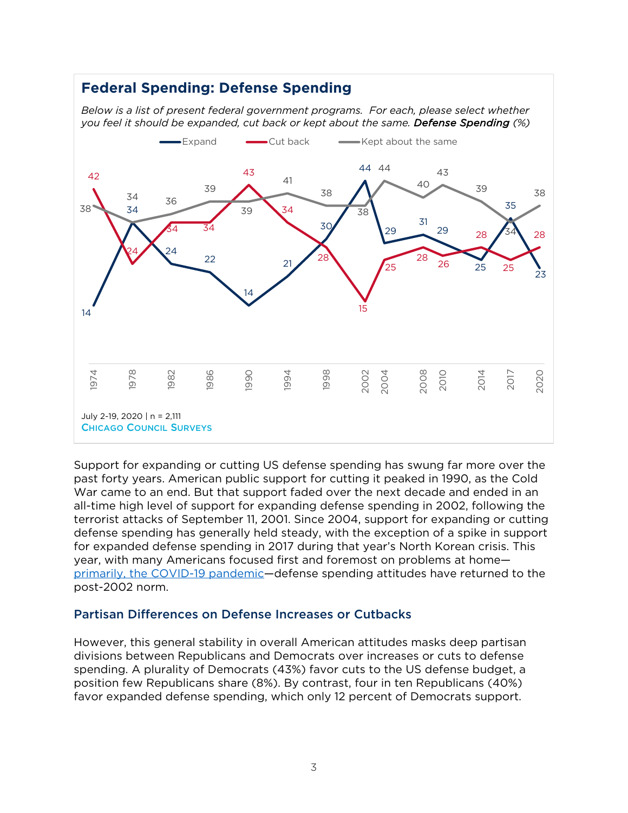## **Federal Spending: Defense Spending**

*Below is a list of present federal government programs. For each, please select whether you feel it should be expanded, cut back or kept about the same. Defense Spending (%)*



Support for expanding or cutting US defense spending has swung far more over the past forty years. American public support for cutting it peaked in 1990, as the Cold War came to an end. But that support faded over the next decade and ended in an all-time high level of support for expanding defense spending in 2002, following the terrorist attacks of September 11, 2001. Since 2004, support for expanding or cutting defense spending has generally held steady, with the exception of a spike in support for expanded defense spending in 2017 during that year's North Korean crisis. This year, with many Americans focused first and foremost on problems at home primarily, the COVID-19 pandemic—defense spending attitudes have returned to the post-2002 norm.

#### Partisan Differences on Defense Increases or Cutbacks

However, this general stability in overall American attitudes masks deep partisan divisions between Republicans and Democrats over increases or cuts to defense spending. A plurality of Democrats (43%) favor cuts to the US defense budget, a position few Republicans share (8%). By contrast, four in ten Republicans (40%) favor expanded defense spending, which only 12 percent of Democrats support.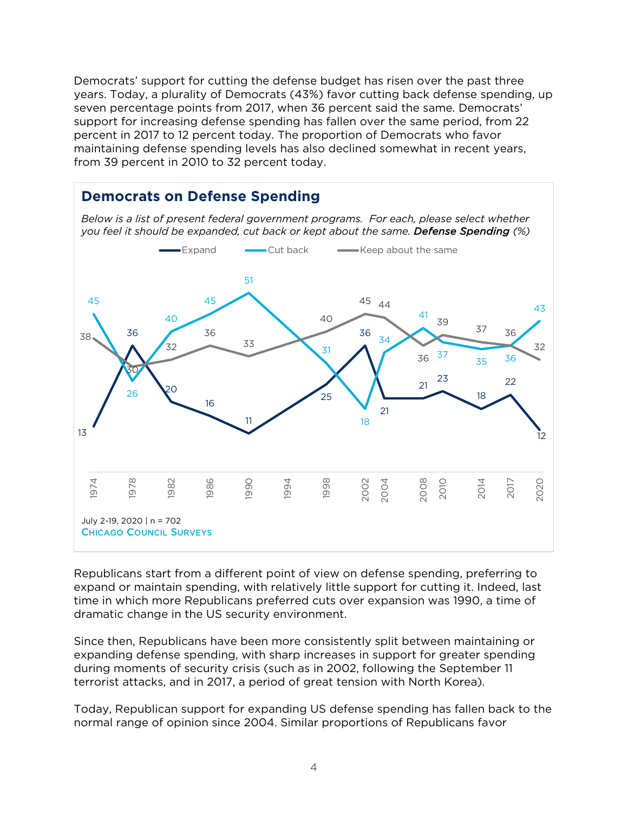Democrats' support for cutting the defense budget has risen over the past three years. Today, a plurality of Democrats (43%) favor cutting back defense spending, up seven percentage points from 2017, when 36 percent said the same. Democrats' support for increasing defense spending has fallen over the same period, from 22 percent in 2017 to 12 percent today. The proportion of Democrats who favor maintaining defense spending levels has also declined somewhat in recent years, from 39 percent in 2010 to 32 percent today.



Republicans start from a different point of view on defense spending, preferring to expand or maintain spending, with relatively little support for cutting it. Indeed, last time in which more Republicans preferred cuts over expansion was 1990, a time of dramatic change in the US security environment.

Since then, Republicans have been more consistently split between maintaining or expanding defense spending, with sharp increases in support for greater spending during moments of security crisis (such as in 2002, following the September 11 terrorist attacks, and in 2017, a period of great tension with North Korea).

Today, Republican support for expanding US defense spending has fallen back to the normal range of opinion since 2004. Similar proportions of Republicans favor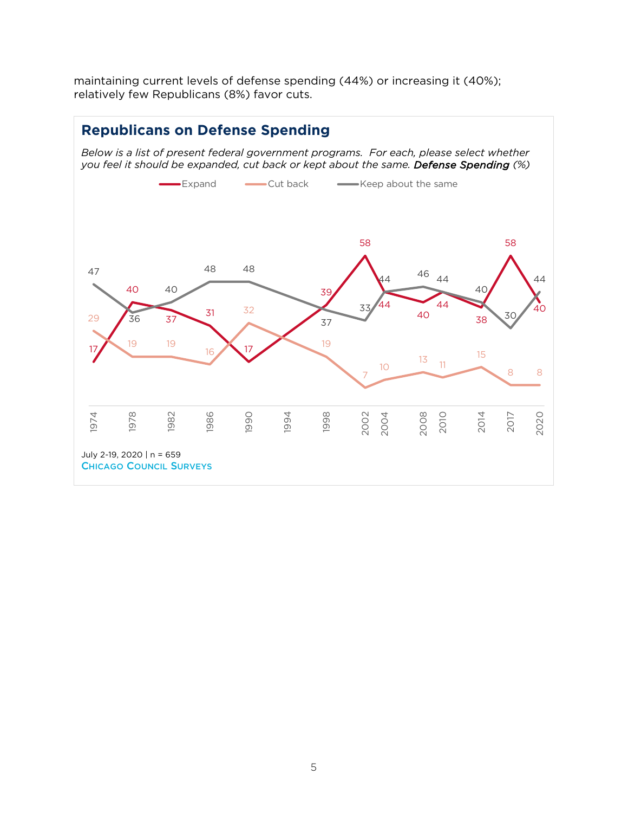maintaining current levels of defense spending (44%) or increasing it (40%); relatively few Republicans (8%) favor cuts.

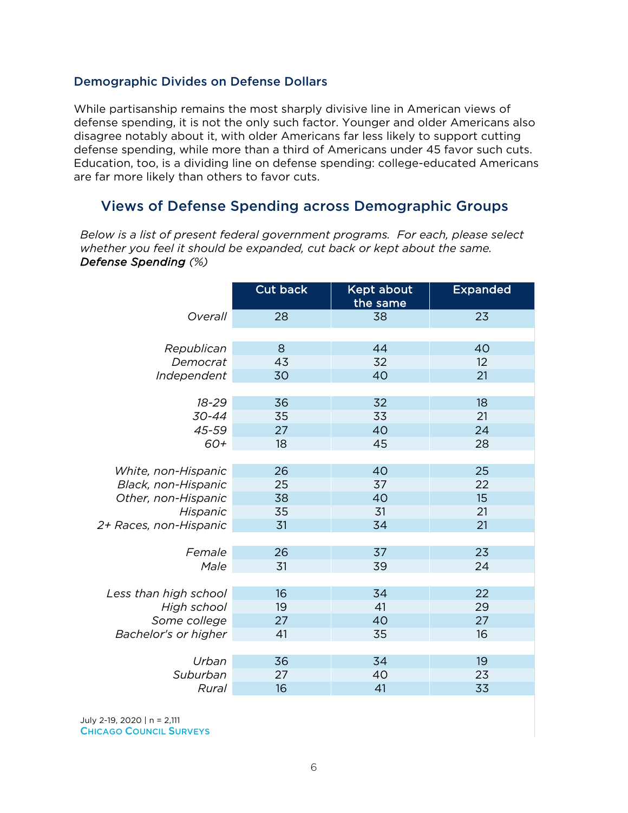#### Demographic Divides on Defense Dollars

While partisanship remains the most sharply divisive line in American views of defense spending, it is not the only such factor. Younger and older Americans also disagree notably about it, with older Americans far less likely to support cutting defense spending, while more than a third of Americans under 45 favor such cuts. Education, too, is a dividing line on defense spending: college-educated Americans are far more likely than others to favor cuts.

## Views of Defense Spending across Demographic Groups

*Below is a list of present federal government programs. For each, please select whether you feel it should be expanded, cut back or kept about the same. Defense Spending (%)* 

|                        | Cut back | Kept about<br>the same | <b>Expanded</b> |
|------------------------|----------|------------------------|-----------------|
| Overall                | 28       | 38                     | 23              |
|                        |          |                        |                 |
| Republican             | 8        | 44                     | 40              |
| Democrat               | 43       | 32                     | 12              |
| Independent            | 30       | 40                     | 21              |
|                        |          |                        |                 |
| 18-29                  | 36       | 32                     | 18              |
| 30-44                  | 35       | 33                     | 21              |
| 45-59                  | 27       | 40                     | 24              |
| 60+                    | 18       | 45                     | 28              |
|                        |          |                        |                 |
| White, non-Hispanic    | 26       | 40                     | 25              |
| Black, non-Hispanic    | 25       | 37                     | 22              |
| Other, non-Hispanic    | 38       | 40                     | 15              |
| Hispanic               | 35       | 31                     | 21              |
| 2+ Races, non-Hispanic | 31       | 34                     | 21              |
|                        |          |                        |                 |
| Female                 | 26       | 37                     | 23              |
| Male                   | 31       | 39                     | 24              |
|                        |          |                        |                 |
| Less than high school  | 16       | 34                     | 22              |
| High school            | 19       | 41                     | 29              |
| Some college           | 27       | 40                     | 27              |
| Bachelor's or higher   | 41       | 35                     | 16              |
|                        |          |                        |                 |
| Urban                  | 36       | 34                     | 19              |
| Suburban               | 27       | 40                     | 23              |
| Rural                  | 16       | 41                     | 33              |
|                        |          |                        |                 |

July 2-19, 2020 | n = 2,111 CHICAGO COUNCIL SURVEYS